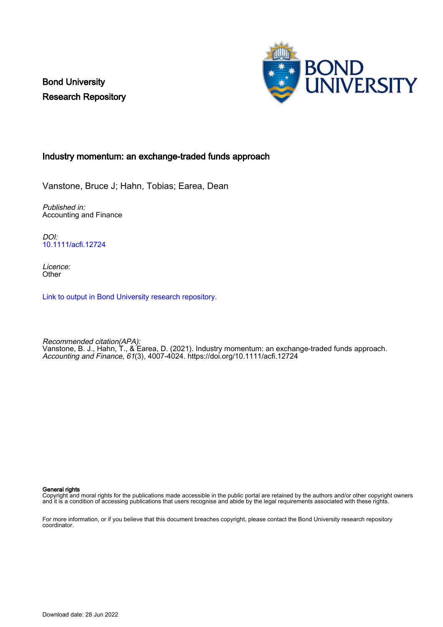Bond University Research Repository



## Industry momentum: an exchange‐traded funds approach

Vanstone, Bruce J; Hahn, Tobias; Earea, Dean

Published in: Accounting and Finance

DOI: [10.1111/acfi.12724](https://doi.org/10.1111/acfi.12724)

Licence: **Other** 

[Link to output in Bond University research repository.](https://research.bond.edu.au/en/publications/3a43ca5b-19de-4bc3-a85e-a960074af65f)

Recommended citation(APA): Vanstone, B. J., Hahn, T., & Earea, D. (2021). Industry momentum: an exchange‐traded funds approach. Accounting and Finance, 61(3), 4007-4024.<https://doi.org/10.1111/acfi.12724>

General rights

Copyright and moral rights for the publications made accessible in the public portal are retained by the authors and/or other copyright owners and it is a condition of accessing publications that users recognise and abide by the legal requirements associated with these rights.

For more information, or if you believe that this document breaches copyright, please contact the Bond University research repository coordinator.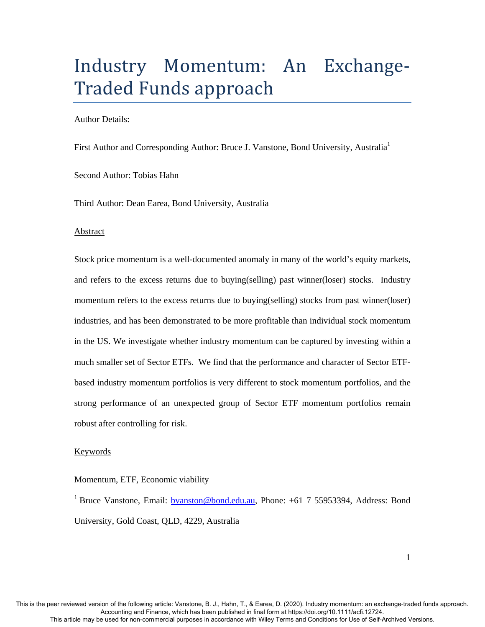# Industry Momentum: An Exchange-Traded Funds approach

Author Details:

First Author and Corresponding Author: Bruce J. Vanstone, Bond University, Australia<sup>1</sup>

Second Author: Tobias Hahn

Third Author: Dean Earea, Bond University, Australia

### Abstract

Stock price momentum is a well-documented anomaly in many of the world's equity markets, and refers to the excess returns due to buying(selling) past winner(loser) stocks. Industry momentum refers to the excess returns due to buying(selling) stocks from past winner(loser) industries, and has been demonstrated to be more profitable than individual stock momentum in the US. We investigate whether industry momentum can be captured by investing within a much smaller set of Sector ETFs. We find that the performance and character of Sector ETFbased industry momentum portfolios is very different to stock momentum portfolios, and the strong performance of an unexpected group of Sector ETF momentum portfolios remain robust after controlling for risk.

## **Keywords**

-

## Momentum, ETF, Economic viability

<sup>1</sup> Bruce Vanstone, Email: **bvanston@bond.edu.au**, Phone: +61 7 55953394, Address: Bond University, Gold Coast, QLD, 4229, Australia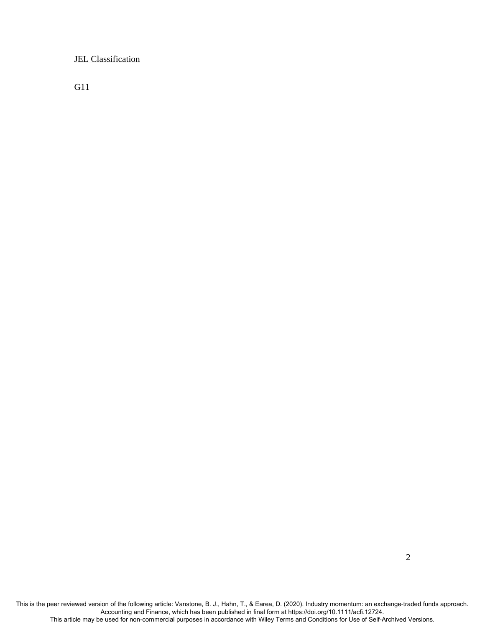JEL Classification

G11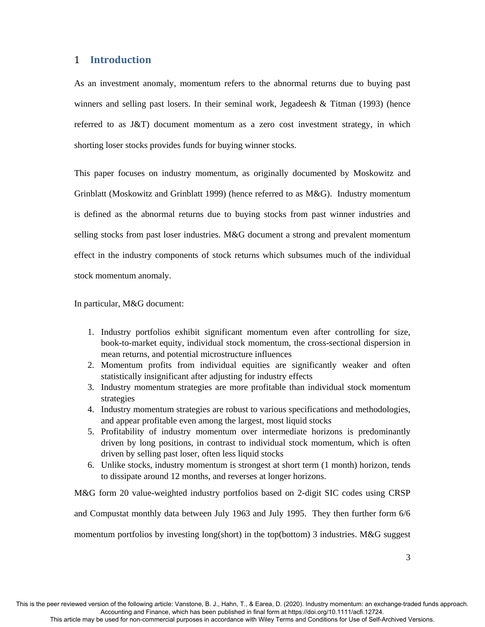## 1 **Introduction**

As an investment anomaly, momentum refers to the abnormal returns due to buying past winners and selling past losers. In their seminal work, Jegadeesh  $\&$  Titman (1993) (hence referred to as J&T) document momentum as a zero cost investment strategy, in which shorting loser stocks provides funds for buying winner stocks.

This paper focuses on industry momentum, as originally documented by Moskowitz and Grinblatt (Moskowitz and Grinblatt 1999) (hence referred to as M&G). Industry momentum is defined as the abnormal returns due to buying stocks from past winner industries and selling stocks from past loser industries. M&G document a strong and prevalent momentum effect in the industry components of stock returns which subsumes much of the individual stock momentum anomaly.

In particular, M&G document:

- 1. Industry portfolios exhibit significant momentum even after controlling for size, book-to-market equity, individual stock momentum, the cross-sectional dispersion in mean returns, and potential microstructure influences
- 2. Momentum profits from individual equities are significantly weaker and often statistically insignificant after adjusting for industry effects
- 3. Industry momentum strategies are more profitable than individual stock momentum strategies
- 4. Industry momentum strategies are robust to various specifications and methodologies, and appear profitable even among the largest, most liquid stocks
- 5. Profitability of industry momentum over intermediate horizons is predominantly driven by long positions, in contrast to individual stock momentum, which is often driven by selling past loser, often less liquid stocks
- 6. Unlike stocks, industry momentum is strongest at short term (1 month) horizon, tends to dissipate around 12 months, and reverses at longer horizons.

M&G form 20 value-weighted industry portfolios based on 2-digit SIC codes using CRSP

and Compustat monthly data between July 1963 and July 1995. They then further form 6/6

momentum portfolios by investing long(short) in the top(bottom) 3 industries. M&G suggest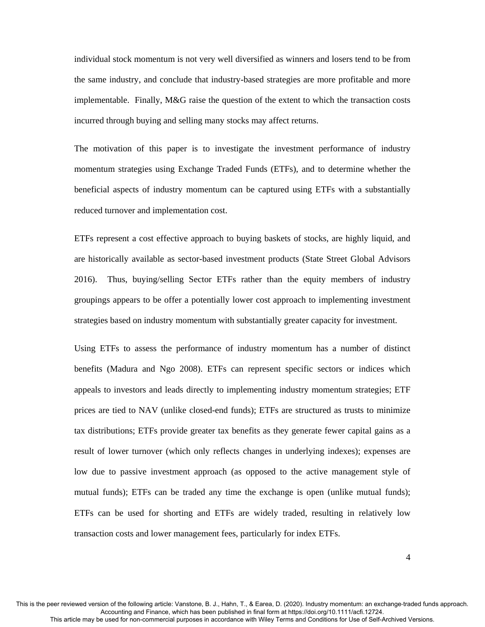individual stock momentum is not very well diversified as winners and losers tend to be from the same industry, and conclude that industry-based strategies are more profitable and more implementable. Finally, M&G raise the question of the extent to which the transaction costs incurred through buying and selling many stocks may affect returns.

The motivation of this paper is to investigate the investment performance of industry momentum strategies using Exchange Traded Funds (ETFs), and to determine whether the beneficial aspects of industry momentum can be captured using ETFs with a substantially reduced turnover and implementation cost.

ETFs represent a cost effective approach to buying baskets of stocks, are highly liquid, and are historically available as sector-based investment products (State Street Global Advisors 2016). Thus, buying/selling Sector ETFs rather than the equity members of industry groupings appears to be offer a potentially lower cost approach to implementing investment strategies based on industry momentum with substantially greater capacity for investment.

Using ETFs to assess the performance of industry momentum has a number of distinct benefits (Madura and Ngo 2008). ETFs can represent specific sectors or indices which appeals to investors and leads directly to implementing industry momentum strategies; ETF prices are tied to NAV (unlike closed-end funds); ETFs are structured as trusts to minimize tax distributions; ETFs provide greater tax benefits as they generate fewer capital gains as a result of lower turnover (which only reflects changes in underlying indexes); expenses are low due to passive investment approach (as opposed to the active management style of mutual funds); ETFs can be traded any time the exchange is open (unlike mutual funds); ETFs can be used for shorting and ETFs are widely traded, resulting in relatively low transaction costs and lower management fees, particularly for index ETFs.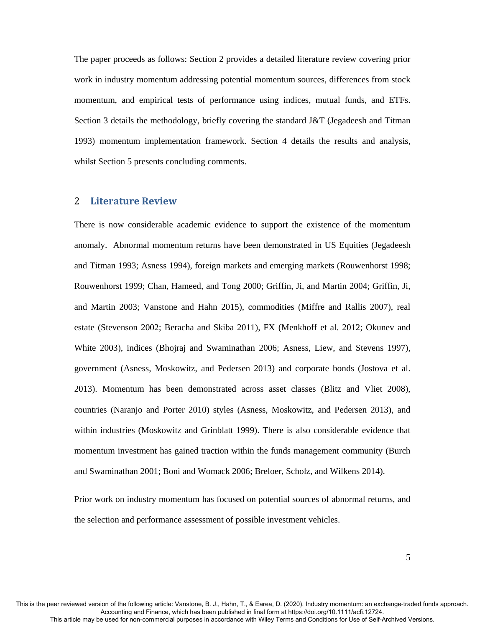The paper proceeds as follows: Section 2 provides a detailed literature review covering prior work in industry momentum addressing potential momentum sources, differences from stock momentum, and empirical tests of performance using indices, mutual funds, and ETFs. Section 3 details the methodology, briefly covering the standard J&T (Jegadeesh and Titman 1993) momentum implementation framework. Section 4 details the results and analysis, whilst Section 5 presents concluding comments.

## 2 **Literature Review**

There is now considerable academic evidence to support the existence of the momentum anomaly. Abnormal momentum returns have been demonstrated in US Equities (Jegadeesh and Titman 1993; Asness 1994), foreign markets and emerging markets (Rouwenhorst 1998; Rouwenhorst 1999; Chan, Hameed, and Tong 2000; Griffin, Ji, and Martin 2004; Griffin, Ji, and Martin 2003; Vanstone and Hahn 2015), commodities (Miffre and Rallis 2007), real estate (Stevenson 2002; Beracha and Skiba 2011), FX (Menkhoff et al. 2012; Okunev and White 2003), indices (Bhojraj and Swaminathan 2006; Asness, Liew, and Stevens 1997), government (Asness, Moskowitz, and Pedersen 2013) and corporate bonds (Jostova et al. 2013). Momentum has been demonstrated across asset classes (Blitz and Vliet 2008), countries (Naranjo and Porter 2010) styles (Asness, Moskowitz, and Pedersen 2013), and within industries (Moskowitz and Grinblatt 1999). There is also considerable evidence that momentum investment has gained traction within the funds management community (Burch and Swaminathan 2001; Boni and Womack 2006; Breloer, Scholz, and Wilkens 2014).

Prior work on industry momentum has focused on potential sources of abnormal returns, and the selection and performance assessment of possible investment vehicles.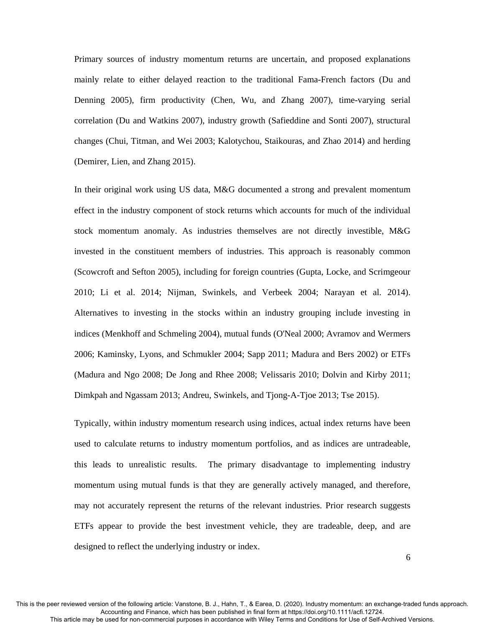Primary sources of industry momentum returns are uncertain, and proposed explanations mainly relate to either delayed reaction to the traditional Fama-French factors (Du and Denning 2005), firm productivity (Chen, Wu, and Zhang 2007), time-varying serial correlation (Du and Watkins 2007), industry growth (Safieddine and Sonti 2007), structural changes (Chui, Titman, and Wei 2003; Kalotychou, Staikouras, and Zhao 2014) and herding (Demirer, Lien, and Zhang 2015).

In their original work using US data, M&G documented a strong and prevalent momentum effect in the industry component of stock returns which accounts for much of the individual stock momentum anomaly. As industries themselves are not directly investible, M&G invested in the constituent members of industries. This approach is reasonably common (Scowcroft and Sefton 2005), including for foreign countries (Gupta, Locke, and Scrimgeour 2010; Li et al. 2014; Nijman, Swinkels, and Verbeek 2004; Narayan et al. 2014). Alternatives to investing in the stocks within an industry grouping include investing in indices (Menkhoff and Schmeling 2004), mutual funds (O'Neal 2000; Avramov and Wermers 2006; Kaminsky, Lyons, and Schmukler 2004; Sapp 2011; Madura and Bers 2002) or ETFs (Madura and Ngo 2008; De Jong and Rhee 2008; Velissaris 2010; Dolvin and Kirby 2011; Dimkpah and Ngassam 2013; Andreu, Swinkels, and Tjong-A-Tjoe 2013; Tse 2015).

Typically, within industry momentum research using indices, actual index returns have been used to calculate returns to industry momentum portfolios, and as indices are untradeable, this leads to unrealistic results. The primary disadvantage to implementing industry momentum using mutual funds is that they are generally actively managed, and therefore, may not accurately represent the returns of the relevant industries. Prior research suggests ETFs appear to provide the best investment vehicle, they are tradeable, deep, and are designed to reflect the underlying industry or index.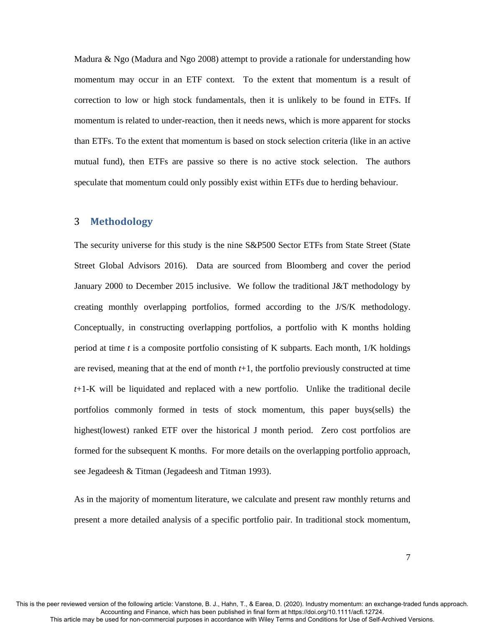Madura & Ngo (Madura and Ngo 2008) attempt to provide a rationale for understanding how momentum may occur in an ETF context. To the extent that momentum is a result of correction to low or high stock fundamentals, then it is unlikely to be found in ETFs. If momentum is related to under-reaction, then it needs news, which is more apparent for stocks than ETFs. To the extent that momentum is based on stock selection criteria (like in an active mutual fund), then ETFs are passive so there is no active stock selection. The authors speculate that momentum could only possibly exist within ETFs due to herding behaviour.

## 3 **Methodology**

The security universe for this study is the nine S&P500 Sector ETFs from State Street (State Street Global Advisors 2016). Data are sourced from Bloomberg and cover the period January 2000 to December 2015 inclusive. We follow the traditional J&T methodology by creating monthly overlapping portfolios, formed according to the J/S/K methodology. Conceptually, in constructing overlapping portfolios, a portfolio with K months holding period at time *t* is a composite portfolio consisting of K subparts. Each month, 1/K holdings are revised, meaning that at the end of month *t*+1, the portfolio previously constructed at time *t*+1-K will be liquidated and replaced with a new portfolio. Unlike the traditional decile portfolios commonly formed in tests of stock momentum, this paper buys(sells) the highest(lowest) ranked ETF over the historical J month period. Zero cost portfolios are formed for the subsequent K months. For more details on the overlapping portfolio approach, see Jegadeesh & Titman (Jegadeesh and Titman 1993).

As in the majority of momentum literature, we calculate and present raw monthly returns and present a more detailed analysis of a specific portfolio pair. In traditional stock momentum,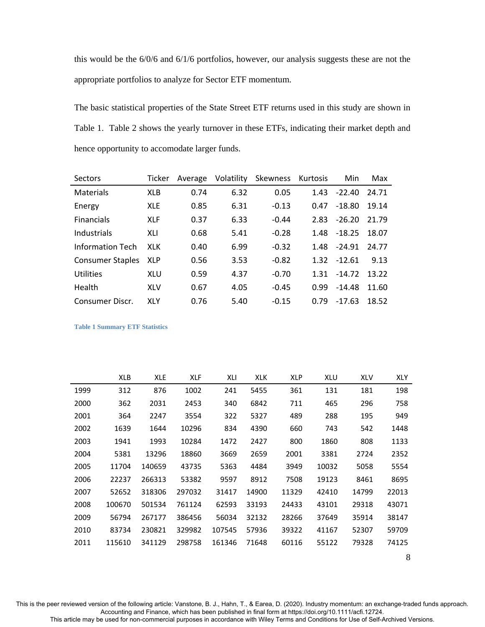this would be the 6/0/6 and 6/1/6 portfolios, however, our analysis suggests these are not the appropriate portfolios to analyze for Sector ETF momentum.

The basic statistical properties of the State Street ETF returns used in this study are shown in Table 1. Table 2 shows the yearly turnover in these ETFs, indicating their market depth and hence opportunity to accomodate larger funds.

| Sectors                 | Ticker     | Average | Volatility | Skewness | Kurtosis | Min      | Max   |
|-------------------------|------------|---------|------------|----------|----------|----------|-------|
| Materials               | <b>XLB</b> | 0.74    | 6.32       | 0.05     | 1.43     | $-22.40$ | 24.71 |
| Energy                  | <b>XLE</b> | 0.85    | 6.31       | $-0.13$  | 0.47     | $-18.80$ | 19.14 |
| <b>Financials</b>       | <b>XLF</b> | 0.37    | 6.33       | $-0.44$  | 2.83     | $-26.20$ | 21.79 |
| Industrials             | XLI        | 0.68    | 5.41       | $-0.28$  | 1.48     | $-18.25$ | 18.07 |
| Information Tech        | <b>XLK</b> | 0.40    | 6.99       | $-0.32$  | 1.48     | $-24.91$ | 24.77 |
| <b>Consumer Staples</b> | <b>XLP</b> | 0.56    | 3.53       | $-0.82$  | 1.32     | $-12.61$ | 9.13  |
| Utilities               | <b>XLU</b> | 0.59    | 4.37       | $-0.70$  | 1.31     | $-14.72$ | 13.22 |
| Health                  | <b>XLV</b> | 0.67    | 4.05       | $-0.45$  | 0.99     | $-14.48$ | 11.60 |
| Consumer Discr.         | <b>XLY</b> | 0.76    | 5.40       | $-0.15$  | 0.79     | $-17.63$ | 18.52 |

**Table 1 Summary ETF Statistics** 

|      | <b>XLB</b> | XLE    | <b>XLF</b> | XLI    | <b>XLK</b> | <b>XLP</b> | XLU   | <b>XLV</b> | <b>XLY</b> |
|------|------------|--------|------------|--------|------------|------------|-------|------------|------------|
| 1999 | 312        | 876    | 1002       | 241    | 5455       | 361        | 131   | 181        | 198        |
| 2000 | 362        | 2031   | 2453       | 340    | 6842       | 711        | 465   | 296        | 758        |
| 2001 | 364        | 2247   | 3554       | 322    | 5327       | 489        | 288   | 195        | 949        |
| 2002 | 1639       | 1644   | 10296      | 834    | 4390       | 660        | 743   | 542        | 1448       |
| 2003 | 1941       | 1993   | 10284      | 1472   | 2427       | 800        | 1860  | 808        | 1133       |
| 2004 | 5381       | 13296  | 18860      | 3669   | 2659       | 2001       | 3381  | 2724       | 2352       |
| 2005 | 11704      | 140659 | 43735      | 5363   | 4484       | 3949       | 10032 | 5058       | 5554       |
| 2006 | 22237      | 266313 | 53382      | 9597   | 8912       | 7508       | 19123 | 8461       | 8695       |
| 2007 | 52652      | 318306 | 297032     | 31417  | 14900      | 11329      | 42410 | 14799      | 22013      |
| 2008 | 100670     | 501534 | 761124     | 62593  | 33193      | 24433      | 43101 | 29318      | 43071      |
| 2009 | 56794      | 267177 | 386456     | 56034  | 32132      | 28266      | 37649 | 35914      | 38147      |
| 2010 | 83734      | 230821 | 329982     | 107545 | 57936      | 39322      | 41167 | 52307      | 59709      |
| 2011 | 115610     | 341129 | 298758     | 161346 | 71648      | 60116      | 55122 | 79328      | 74125      |

8

This is the peer reviewed version of the following article: Vanstone, B. J., Hahn, T., & Earea, D. (2020). Industry momentum: an exchange‐traded funds approach. Accounting and Finance, which has been published in final form at https://doi.org/10.1111/acfi.12724.

This article may be used for non-commercial purposes in accordance with Wiley Terms and Conditions for Use of Self-Archived Versions.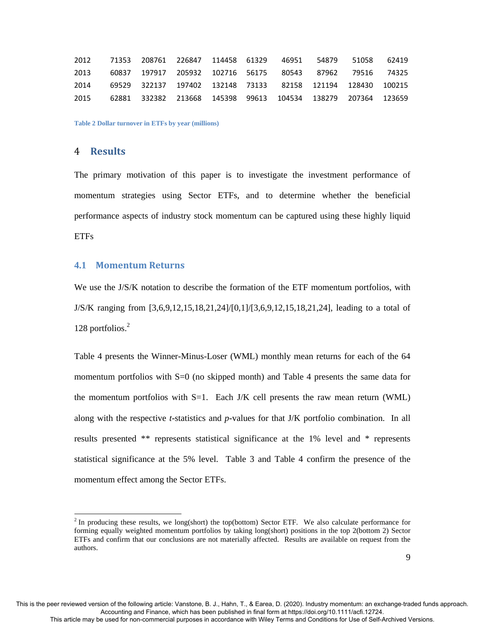|      |  | 2012 71353 208761 226847 114458 61329 46951 54879 51058 62419     |  |  |  |
|------|--|-------------------------------------------------------------------|--|--|--|
| 2013 |  | 60837 197917 205932 102716 56175  80543  87962  79516  74325      |  |  |  |
| 2014 |  | 69529 322137 197402 132148 73133  82158  121194  128430  100215   |  |  |  |
|      |  | 2015 62881 332382 213668 145398 99613 104534 138279 207364 123659 |  |  |  |

**Table 2 Dollar turnover in ETFs by year (millions)** 

## 4 **Results**

-

The primary motivation of this paper is to investigate the investment performance of momentum strategies using Sector ETFs, and to determine whether the beneficial performance aspects of industry stock momentum can be captured using these highly liquid **ETFs** 

## **4.1 Momentum Returns**

We use the J/S/K notation to describe the formation of the ETF momentum portfolios, with J/S/K ranging from [3,6,9,12,15,18,21,24]/[0,1]/[3,6,9,12,15,18,21,24], leading to a total of 128 portfolios.<sup>2</sup>

Table 4 presents the Winner-Minus-Loser (WML) monthly mean returns for each of the 64 momentum portfolios with S=0 (no skipped month) and Table 4 presents the same data for the momentum portfolios with  $S=1$ . Each J/K cell presents the raw mean return (WML) along with the respective *t*-statistics and *p*-values for that J/K portfolio combination. In all results presented \*\* represents statistical significance at the 1% level and \* represents statistical significance at the 5% level. Table 3 and Table 4 confirm the presence of the momentum effect among the Sector ETFs.

 $2^2$  In producing these results, we long(short) the top(bottom) Sector ETF. We also calculate performance for forming equally weighted momentum portfolios by taking long(short) positions in the top 2(bottom 2) Sector ETFs and confirm that our conclusions are not materially affected. Results are available on request from the authors.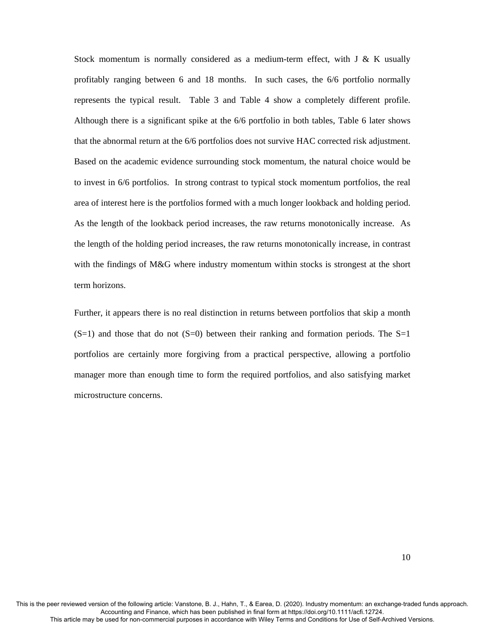Stock momentum is normally considered as a medium-term effect, with  $J \& K$  usually profitably ranging between 6 and 18 months. In such cases, the 6/6 portfolio normally represents the typical result. Table 3 and Table 4 show a completely different profile. Although there is a significant spike at the 6/6 portfolio in both tables, Table 6 later shows that the abnormal return at the 6/6 portfolios does not survive HAC corrected risk adjustment. Based on the academic evidence surrounding stock momentum, the natural choice would be to invest in 6/6 portfolios. In strong contrast to typical stock momentum portfolios, the real area of interest here is the portfolios formed with a much longer lookback and holding period. As the length of the lookback period increases, the raw returns monotonically increase. As the length of the holding period increases, the raw returns monotonically increase, in contrast with the findings of M&G where industry momentum within stocks is strongest at the short term horizons.

Further, it appears there is no real distinction in returns between portfolios that skip a month  $(S=1)$  and those that do not  $(S=0)$  between their ranking and formation periods. The S=1 portfolios are certainly more forgiving from a practical perspective, allowing a portfolio manager more than enough time to form the required portfolios, and also satisfying market microstructure concerns.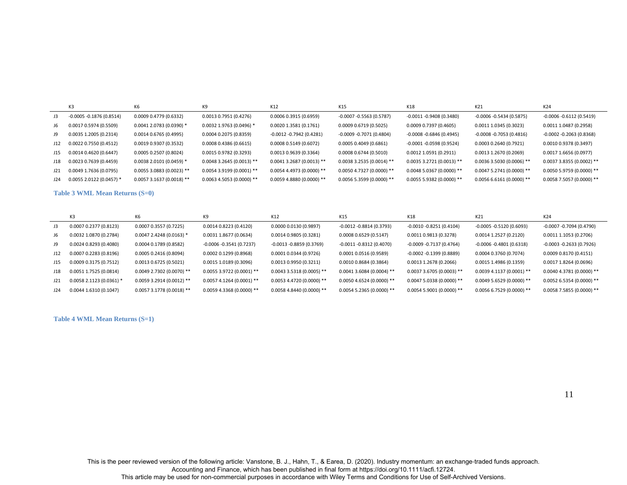|     | K <sub>3</sub>             | K6                        | K9                          | K12                         | K15                         | K18                         | K21                        | K24                         |
|-----|----------------------------|---------------------------|-----------------------------|-----------------------------|-----------------------------|-----------------------------|----------------------------|-----------------------------|
| J3  | $-0.0005 - 0.1876(0.8514)$ | 0.0009 0.4779 (0.6332)    | $0.0013$ 0.7951 (0.4276)    | 0.0006 0.3915 (0.6959)      | $-0.0007 - 0.5563(0.5787)$  | $-0.0011 - 0.9408(0.3480)$  | $-0.0006 - 0.5434(0.5875)$ | $-0.0006 - 0.6112(0.5419)$  |
| J6  | 0.0017 0.5974 (0.5509)     | 0.0041 2.0783 (0.0390) *  | $0.0032$ 1.9763 (0.0496) *  | 0.0020 1.3581 (0.1761)      | 0.0009 0.6719 (0.5025)      | 0.0009 0.7397 (0.4605)      | 0.0011 1.0345 (0.3023)     | 0.0011 1.0487 (0.2958)      |
| J9  | 0.0035 1.2005 (0.2314)     | 0.0014 0.6765 (0.4995)    | 0.0004 0.2075 (0.8359)      | $-0.0012 -0.7942(0.4281)$   | $-0.0009 - 0.7071(0.4804)$  | $-0.0008 - 0.6846$ (0.4945) | $-0.0008 - 0.7053(0.4816)$ | $-0.0002 - 0.2063(0.8368)$  |
| J12 | 0.0022 0.7550 (0.4512)     | 0.0019 0.9307 (0.3532)    | 0.00080.4386(0.6615)        | 0.0008 0.5149 (0.6072)      | 0.00050.4049(0.6861)        | $-0.0001 - 0.0598(0.9524)$  | 0.0003 0.2640 (0.7921)     | 0.0010 0.9378 (0.3497)      |
| J15 | 0.0014 0.4620 (0.6447)     | 0.0005 0.2507 (0.8024)    | 0.0015 0.9782 (0.3293)      | 0.0013 0.9639 (0.3364)      | 0.00080.6744(0.5010)        | $0.0012$ 1.0591 (0.2911)    | $0.0013$ 1.2670 (0.2069)   | 0.0017 1.6656 (0.0977)      |
| J18 | 0.0023 0.7639 (0.4459)     | 0.0038 2.0101 (0.0459) *  | $0.0048$ 3.2645 (0.0013) ** | $0.0041$ 3.2687 (0.0013) ** | $0.00383.2535(0.0014)$ **   | $0.00353.2721(0.0013)$ **   | $0.00363.5030(0.0006)$ **  | $0.00373.8355(0.0002)$ **   |
| J21 | 0.0049 1.7636 (0.0795)     | 0.0055 3.0883 (0.0023) ** | $0.0054$ 3.9199 (0.0001) ** | 0.0054 4.4973 (0.0000) **   | $0.0050$ 4.7327 (0.0000) ** | $0.00485.0367(0.0000)$ **   | $0.00475.2741(0.0000)**$   | $0.00505.9759(0.0000)$ **   |
| J24 | $0.0055$ 2.0122 (0.0457) * | $0.00573.1637(0.0018)$ ** | $0.0063$ 4.5053 (0.0000) ** | $0.0059$ 4.8880 (0.0000) ** | $0.005653599(0.0000)$ **    | $0.00555.9382(0.0000)$ **   | $0.0056666161(0.0000)$ **  | $0.0058$ 7.5057 (0.0000) ** |

#### **Table 3 WML Mean Returns (S=0)**

|     | K <sub>3</sub>           | K6                          | K <sub>9</sub>              | K12                         | K15                          | K18                        | K21                         | K24                         |
|-----|--------------------------|-----------------------------|-----------------------------|-----------------------------|------------------------------|----------------------------|-----------------------------|-----------------------------|
| J3  | 0.0007 0.2377 (0.8123)   | 0.0007 0.3557 (0.7225)      | 0.0014 0.8223 (0.4120)      | 0.0000 0.0130 (0.9897)      | $-0.0012 - 0.8814(0.3793)$   | -0.0010 -0.8251 (0.4104)   | $-0.0005 -0.5120(0.6093)$   | $-0.0007 - 0.7094(0.4790)$  |
| J6  | 0.0032 1.0870 (0.2784)   | $0.0047$ 2.4248 (0.0163) *  | 0.0031 1.8677 (0.0634)      | 0.0014 0.9805 (0.3281)      | $0.0008$ $0.6529$ $(0.5147)$ | 0.0011 0.9813 (0.3278)     | 0.0014 1.2527 (0.2120)      | 0.0011 1.1053 (0.2706)      |
| J9  | 0.00240.8293(0.4080)     | 0.0004 0.1789 (0.8582)      | $-0.0006 - 0.3541(0.7237)$  | $-0.0013 - 0.8859(0.3769)$  | $-0.0011 - 0.8312(0.4070)$   | -0.0009 -0.7137 (0.4764)   | $-0.0006 - 0.4801(0.6318)$  | $-0.0003 - 0.2633(0.7926)$  |
| J12 | 0.00070.2283(0.8196)     | 0.0005 0.2416 (0.8094)      | 0.0002 0.1299 (0.8968)      | 0.0001 0.0344 (0.9726)      | $0.0001$ $0.0516$ $(0.9589)$ | $-0.0002 -0.1399$ (0.8889) | 0.0004 0.3760 (0.7074)      | 0.0009 0.8170 (0.4151)      |
| J15 | 0.0009 0.3175 (0.7512)   | 0.0013 0.6725 (0.5021)      | 0.0015 1.0189 (0.3096)      | 0.0013 0.9950 (0.3211)      | $0.0010$ $0.8684$ (0.3864)   | 0.0013 1.2678 (0.2066)     | 0.0015 1.4986 (0.1359)      | 0.0017 1.8264 (0.0696)      |
| J18 | $0.0051$ 1.7525 (0.0814) | $0.0049$ 2.7302 (0.0070) ** | $0.0055$ 3.9722 (0.0001) ** | $0.0043$ 3.5318 (0.0005) ** | $0.0041$ 3.6084 (0.0004) **  | $0.00373.6705(0.0003)$ **  | $0.0039$ 4.1137 (0.0001) ** | $0.0040$ 4.3781 (0.0000) ** |
| J21 | 0.0058 2.1123 (0.0361) * | $0.0059$ 3.2914 (0.0012) ** | $0.0057$ 4.1264 (0.0001) ** | 0.0053 4.4720 (0.0000) **   | $0.0050$ 4.6524 (0.0000) **  | $0.00475.0338(0.0000)**$   | $0.00495.6529(0.0000)$ **   | $0.0052$ 6.5354 (0.0000) ** |
| J24 | $0.0044$ 1.6310 (0.1047) | 0.0057 3.1778 (0.0018) **   | $0.0059$ 4.3368 (0.0000) ** | $0.0058$ 4.8440 (0.0000) ** | $0.00545.2365(0.0000)**$     | $0.00545.9001(0.0000)$ **  | $0.0056657529(0.0000)$ **   | $0.0058$ 7.5855 (0.0000) ** |

**Table 4 WML Mean Returns (S=1)** 

11

This is the peer reviewed version of the following article: Vanstone, B. J., Hahn, T., & Earea, D. (2020). Industry momentum: an exchange‐traded funds approach. .2724.Accounting and Finance, which has been published in final form at https://doi.org/10.1111/acfi.12724<br>.This article may be used for non-commercial purposes in accordance with Wiley Terms and Conditions for Use of Self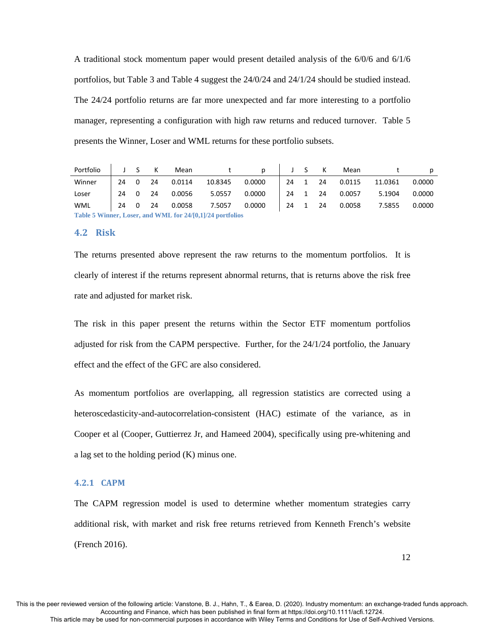A traditional stock momentum paper would present detailed analysis of the 6/0/6 and 6/1/6 portfolios, but Table 3 and Table 4 suggest the 24/0/24 and 24/1/24 should be studied instead. The 24/24 portfolio returns are far more unexpected and far more interesting to a portfolio manager, representing a configuration with high raw returns and reduced turnover. Table 5 presents the Winner, Loser and WML returns for these portfolio subsets.

| Portfolio  | J S K                                                     |  |    | Mean   |         | D                  |      |  | J S K   | Mean   |         | p      |
|------------|-----------------------------------------------------------|--|----|--------|---------|--------------------|------|--|---------|--------|---------|--------|
| Winner     | 24 0                                                      |  | 24 | 0.0114 | 10.8345 | 0.0000             |      |  | 24 1 24 | 0.0115 | 11.0361 | 0.0000 |
| Loser      | 24 0                                                      |  | 24 | 0.0056 | 5.0557  | 0.0000             | 24 1 |  | 24      | 0.0057 | 5.1904  | 0.0000 |
| <b>WML</b> | 24 0 24                                                   |  |    | 0.0058 | 7.5057  | $0.0000$   24 1 24 |      |  |         | 0.0058 | 7.5855  | 0.0000 |
|            | Table 5 Winner, Loser, and WML for 24/[0,1]/24 portfolios |  |    |        |         |                    |      |  |         |        |         |        |

## **4.2 Risk**

The returns presented above represent the raw returns to the momentum portfolios. It is clearly of interest if the returns represent abnormal returns, that is returns above the risk free rate and adjusted for market risk.

The risk in this paper present the returns within the Sector ETF momentum portfolios adjusted for risk from the CAPM perspective. Further, for the 24/1/24 portfolio, the January effect and the effect of the GFC are also considered.

As momentum portfolios are overlapping, all regression statistics are corrected using a heteroscedasticity-and-autocorrelation-consistent (HAC) estimate of the variance, as in Cooper et al (Cooper, Guttierrez Jr, and Hameed 2004), specifically using pre-whitening and a lag set to the holding period (K) minus one.

## **4.2.1 CAPM**

The CAPM regression model is used to determine whether momentum strategies carry additional risk, with market and risk free returns retrieved from Kenneth French's website (French 2016).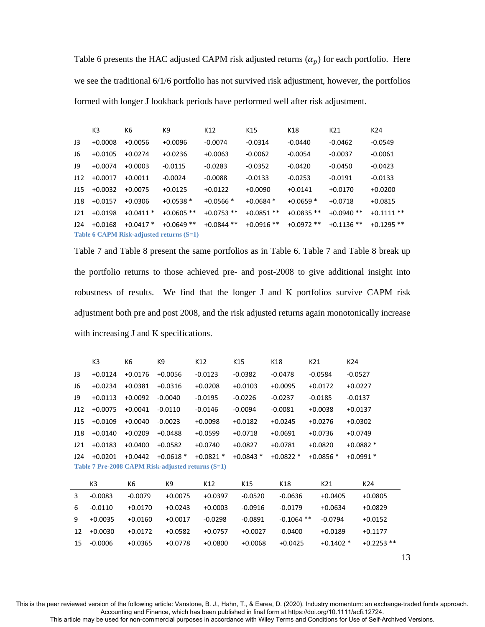Table 6 presents the HAC adjusted CAPM risk adjusted returns  $(\alpha_p)$  for each portfolio. Here we see the traditional 6/1/6 portfolio has not survived risk adjustment, however, the portfolios formed with longer J lookback periods have performed well after risk adjustment.

|     | K <sub>3</sub> | K6         | K9                                       | K12          | K15          | K18          | K21          | K24          |
|-----|----------------|------------|------------------------------------------|--------------|--------------|--------------|--------------|--------------|
| J3  | $+0.0008$      | $+0.0056$  | $+0.0096$                                | $-0.0074$    | $-0.0314$    | $-0.0440$    | $-0.0462$    | $-0.0549$    |
| J6  | $+0.0105$      | $+0.0274$  | $+0.0236$                                | $+0.0063$    | $-0.0062$    | $-0.0054$    | $-0.0037$    | $-0.0061$    |
| 19  | $+0.0074$      | $+0.0003$  | $-0.0115$                                | $-0.0283$    | $-0.0352$    | $-0.0420$    | $-0.0450$    | $-0.0423$    |
| J12 | $+0.0017$      | $+0.0011$  | $-0.0024$                                | $-0.0088$    | $-0.0133$    | $-0.0253$    | $-0.0191$    | $-0.0133$    |
| J15 | $+0.0032$      | $+0.0075$  | $+0.0125$                                | $+0.0122$    | $+0.0090$    | $+0.0141$    | $+0.0170$    | $+0.0200$    |
| J18 | $+0.0157$      | $+0.0306$  | $+0.0538*$                               | $+0.0566*$   | $+0.0684*$   | $+0.0659$ *  | $+0.0718$    | $+0.0815$    |
| J21 | $+0.0198$      | $+0.0411*$ | $+0.0605$ **                             | $+0.0753$ ** | $+0.0851$ ** | $+0.0835**$  | $+0.0940**$  | $+0.1111**$  |
| J24 | $+0.0168$      | $+0.0417*$ | $+0.0649$ **                             | $+0.0844$ ** | $+0.0916$ ** | $+0.0972$ ** | $+0.1136$ ** | $+0.1295$ ** |
|     |                |            | Table 6 CAPM Risk-adjusted returns (S=1) |              |              |              |              |              |

Table 7 and Table 8 present the same portfolios as in Table 6. Table 7 and Table 8 break up the portfolio returns to those achieved pre- and post-2008 to give additional insight into robustness of results. We find that the longer J and K portfolios survive CAPM risk adjustment both pre and post 2008, and the risk adjusted returns again monotonically increase with increasing J and K specifications.

|     | K3             | K6        | K9                                                | K12         | K15        | K18          | K21        | K24          |
|-----|----------------|-----------|---------------------------------------------------|-------------|------------|--------------|------------|--------------|
| J3  | $+0.0124$      | $+0.0176$ | $+0.0056$                                         | $-0.0123$   | $-0.0382$  | $-0.0478$    | $-0.0584$  | $-0.0527$    |
| J6  | $+0.0234$      | $+0.0381$ | $+0.0316$                                         | $+0.0208$   | $+0.0103$  | $+0.0095$    | $+0.0172$  | $+0.0227$    |
| J9  | $+0.0113$      | $+0.0092$ | $-0.0040$                                         | $-0.0195$   | $-0.0226$  | $-0.0237$    | $-0.0185$  | $-0.0137$    |
| J12 | $+0.0075$      | $+0.0041$ | $-0.0110$                                         | $-0.0146$   | $-0.0094$  | $-0.0081$    | $+0.0038$  | $+0.0137$    |
| J15 | $+0.0109$      | $+0.0040$ | $-0.0023$                                         | $+0.0098$   | $+0.0182$  | $+0.0245$    | $+0.0276$  | $+0.0302$    |
| J18 | $+0.0140$      | $+0.0209$ | $+0.0488$                                         | $+0.0599$   | $+0.0718$  | $+0.0691$    | $+0.0736$  | $+0.0749$    |
| J21 | $+0.0183$      | $+0.0400$ | $+0.0582$                                         | $+0.0740$   | $+0.0827$  | $+0.0781$    | $+0.0820$  | $+0.0882*$   |
| J24 | $+0.0201$      | $+0.0442$ | $+0.0618*$                                        | $+0.0821$ * | $+0.0843*$ | $+0.0822*$   | $+0.0856*$ | $+0.0991*$   |
|     |                |           | Table 7 Pre-2008 CAPM Risk-adjusted returns (S=1) |             |            |              |            |              |
|     | K <sub>3</sub> | K6        | K9                                                | K12         | K15        | K18          | K21        | K24          |
| 3   | $-0.0083$      | $-0.0079$ | $+0.0075$                                         | +0.0397     | $-0.0520$  | $-0.0636$    | $+0.0405$  | $+0.0805$    |
| 6   | $-0.0110$      | $+0.0170$ | $+0.0243$                                         | $+0.0003$   | $-0.0916$  | $-0.0179$    | $+0.0634$  | $+0.0829$    |
| 9   | $+0.0035$      | $+0.0160$ | $+0.0017$                                         | $-0.0298$   | $-0.0891$  | $-0.1064$ ** | $-0.0794$  | $+0.0152$    |
| 12  | $+0.0030$      | $+0.0172$ | $+0.0582$                                         | +0.0757     | $+0.0027$  | $-0.0400$    | $+0.0189$  | $+0.1177$    |
| 15  | $-0.0006$      | $+0.0365$ | $+0.0778$                                         | $+0.0800$   | $+0.0068$  | $+0.0425$    | $+0.1402*$ | $+0.2253$ ** |
|     |                |           |                                                   |             |            |              |            |              |

<sup>13</sup> 

This is the peer reviewed version of the following article: Vanstone, B. J., Hahn, T., & Earea, D. (2020). Industry momentum: an exchange‐traded funds approach. Accounting and Finance, which has been published in final form at https://doi.org/10.1111/acfi.12724.

This article may be used for non-commercial purposes in accordance with Wiley Terms and Conditions for Use of Self-Archived Versions.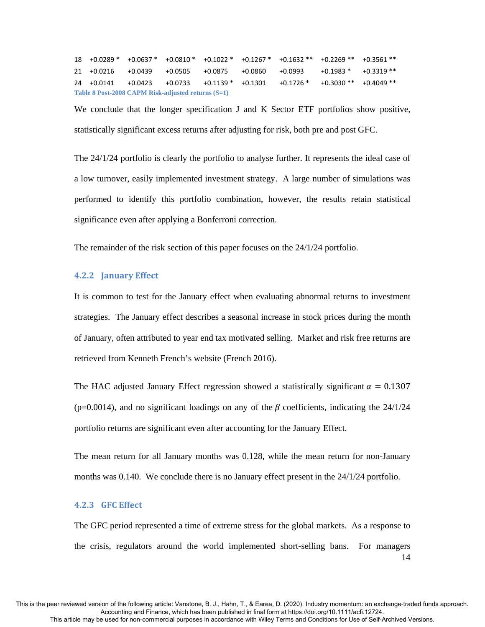+0.0289 \* +0.0637 \* +0.0810 \* +0.1022 \* +0.1267 \* +0.1632 \*\* +0.2269 \*\* +0.3561 \*\* +0.0216 +0.0439 +0.0505 +0.0875 +0.0860 +0.0993 +0.1983 \* +0.3319 \*\* +0.0141 +0.0423 +0.0733 +0.1139 \* +0.1301 +0.1726 \* +0.3030 \*\* +0.4049 \*\* **Table 8 Post-2008 CAPM Risk-adjusted returns (S=1)** 

We conclude that the longer specification J and K Sector ETF portfolios show positive, statistically significant excess returns after adjusting for risk, both pre and post GFC.

The 24/1/24 portfolio is clearly the portfolio to analyse further. It represents the ideal case of a low turnover, easily implemented investment strategy. A large number of simulations was performed to identify this portfolio combination, however, the results retain statistical significance even after applying a Bonferroni correction.

The remainder of the risk section of this paper focuses on the 24/1/24 portfolio.

## **4.2.2 January Effect**

It is common to test for the January effect when evaluating abnormal returns to investment strategies. The January effect describes a seasonal increase in stock prices during the month of January, often attributed to year end tax motivated selling. Market and risk free returns are retrieved from Kenneth French's website (French 2016).

The HAC adjusted January Effect regression showed a statistically significant  $\alpha = 0.1307$ (p=0.0014), and no significant loadings on any of the  $\beta$  coefficients, indicating the 24/1/24 portfolio returns are significant even after accounting for the January Effect.

The mean return for all January months was 0.128, while the mean return for non-January months was 0.140. We conclude there is no January effect present in the 24/1/24 portfolio.

## **4.2.3 GFC Effect**

14 The GFC period represented a time of extreme stress for the global markets. As a response to the crisis, regulators around the world implemented short-selling bans. For managers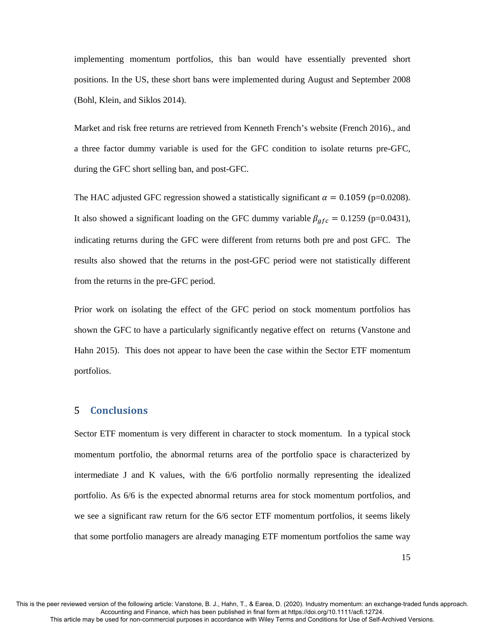implementing momentum portfolios, this ban would have essentially prevented short positions. In the US, these short bans were implemented during August and September 2008 (Bohl, Klein, and Siklos 2014).

Market and risk free returns are retrieved from Kenneth French's website (French 2016)., and a three factor dummy variable is used for the GFC condition to isolate returns pre-GFC, during the GFC short selling ban, and post-GFC.

The HAC adjusted GFC regression showed a statistically significant  $\alpha = 0.1059$  (p=0.0208). It also showed a significant loading on the GFC dummy variable  $\beta_{gfc} = 0.1259$  (p=0.0431), indicating returns during the GFC were different from returns both pre and post GFC. The results also showed that the returns in the post-GFC period were not statistically different from the returns in the pre-GFC period.

Prior work on isolating the effect of the GFC period on stock momentum portfolios has shown the GFC to have a particularly significantly negative effect on returns (Vanstone and Hahn 2015). This does not appear to have been the case within the Sector ETF momentum portfolios.

## 5 **Conclusions**

Sector ETF momentum is very different in character to stock momentum. In a typical stock momentum portfolio, the abnormal returns area of the portfolio space is characterized by intermediate J and K values, with the 6/6 portfolio normally representing the idealized portfolio. As 6/6 is the expected abnormal returns area for stock momentum portfolios, and we see a significant raw return for the 6/6 sector ETF momentum portfolios, it seems likely that some portfolio managers are already managing ETF momentum portfolios the same way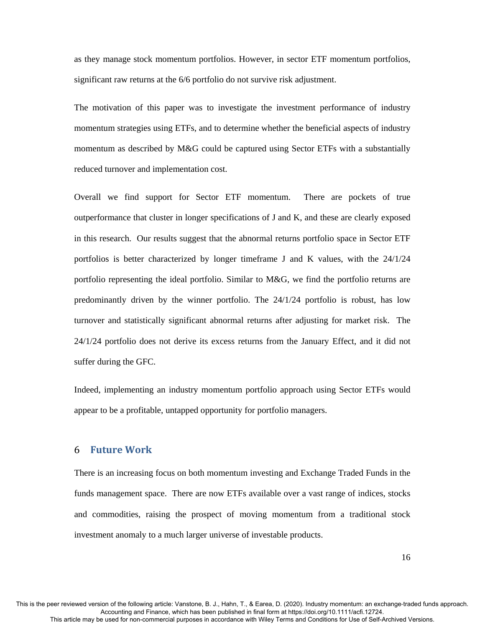as they manage stock momentum portfolios. However, in sector ETF momentum portfolios, significant raw returns at the 6/6 portfolio do not survive risk adjustment.

The motivation of this paper was to investigate the investment performance of industry momentum strategies using ETFs, and to determine whether the beneficial aspects of industry momentum as described by M&G could be captured using Sector ETFs with a substantially reduced turnover and implementation cost.

Overall we find support for Sector ETF momentum. There are pockets of true outperformance that cluster in longer specifications of J and K, and these are clearly exposed in this research. Our results suggest that the abnormal returns portfolio space in Sector ETF portfolios is better characterized by longer timeframe J and K values, with the 24/1/24 portfolio representing the ideal portfolio. Similar to M&G, we find the portfolio returns are predominantly driven by the winner portfolio. The 24/1/24 portfolio is robust, has low turnover and statistically significant abnormal returns after adjusting for market risk. The 24/1/24 portfolio does not derive its excess returns from the January Effect, and it did not suffer during the GFC.

Indeed, implementing an industry momentum portfolio approach using Sector ETFs would appear to be a profitable, untapped opportunity for portfolio managers.

## 6 **Future Work**

There is an increasing focus on both momentum investing and Exchange Traded Funds in the funds management space. There are now ETFs available over a vast range of indices, stocks and commodities, raising the prospect of moving momentum from a traditional stock investment anomaly to a much larger universe of investable products.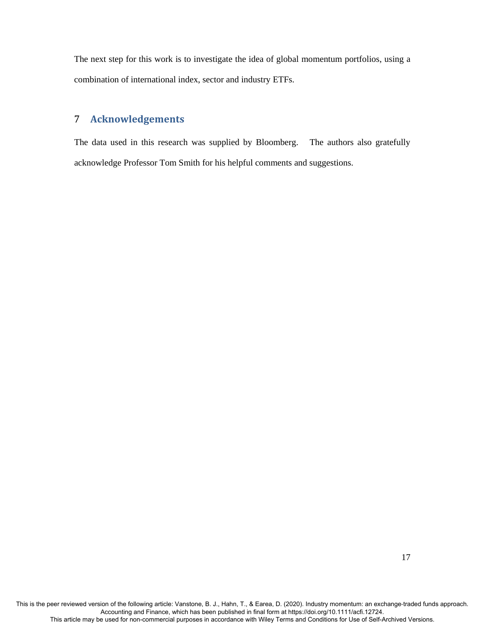The next step for this work is to investigate the idea of global momentum portfolios, using a combination of international index, sector and industry ETFs.

# 7 **Acknowledgements**

The data used in this research was supplied by Bloomberg. The authors also gratefully acknowledge Professor Tom Smith for his helpful comments and suggestions.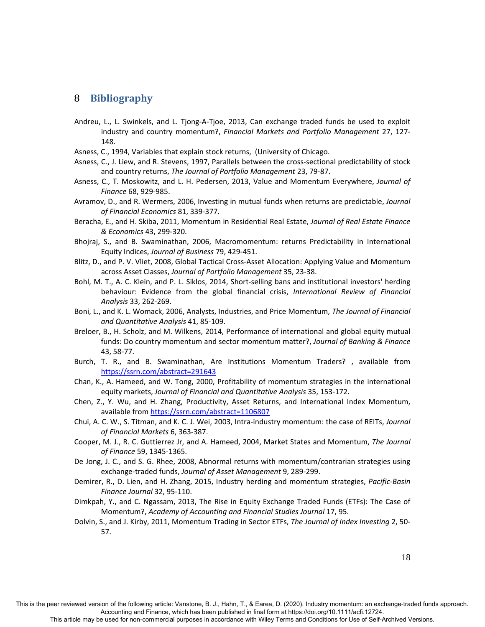## 8 **Bibliography**

- Andreu, L., L. Swinkels, and L. Tjong‐A‐Tjoe, 2013, Can exchange traded funds be used to exploit industry and country momentum?, *Financial Markets and Portfolio Management* 27, 127‐ 148.
- Asness, C., 1994, Variables that explain stock returns, (University of Chicago.
- Asness, C., J. Liew, and R. Stevens, 1997, Parallels between the cross‐sectional predictability of stock and country returns, *The Journal of Portfolio Management* 23, 79‐87.
- Asness, C., T. Moskowitz, and L. H. Pedersen, 2013, Value and Momentum Everywhere, *Journal of Finance* 68, 929‐985.
- Avramov, D., and R. Wermers, 2006, Investing in mutual funds when returns are predictable, *Journal of Financial Economics* 81, 339‐377.
- Beracha, E., and H. Skiba, 2011, Momentum in Residential Real Estate, *Journal of Real Estate Finance & Economics* 43, 299‐320.
- Bhojraj, S., and B. Swaminathan, 2006, Macromomentum: returns Predictability in International Equity Indices, *Journal of Business* 79, 429‐451.
- Blitz, D., and P. V. Vliet, 2008, Global Tactical Cross‐Asset Allocation: Applying Value and Momentum across Asset Classes, *Journal of Portfolio Management* 35, 23‐38.
- Bohl, M. T., A. C. Klein, and P. L. Siklos, 2014, Short‐selling bans and institutional investors' herding behaviour: Evidence from the global financial crisis, *International Review of Financial Analysis* 33, 262‐269.
- Boni, L., and K. L. Womack, 2006, Analysts, Industries, and Price Momentum, *The Journal of Financial and Quantitative Analysis* 41, 85‐109.
- Breloer, B., H. Scholz, and M. Wilkens, 2014, Performance of international and global equity mutual funds: Do country momentum and sector momentum matter?, *Journal of Banking & Finance* 43, 58‐77.
- Burch, T. R., and B. Swaminathan, Are Institutions Momentum Traders? , available from https://ssrn.com/abstract=291643
- Chan, K., A. Hameed, and W. Tong, 2000, Profitability of momentum strategies in the international equity markets, *Journal of Financial and Quantitative Analysis* 35, 153‐172.
- Chen, Z., Y. Wu, and H. Zhang, Productivity, Asset Returns, and International Index Momentum, available from https://ssrn.com/abstract=1106807
- Chui, A. C. W., S. Titman, and K. C. J. Wei, 2003, Intra‐industry momentum: the case of REITs, *Journal of Financial Markets* 6, 363‐387.
- Cooper, M. J., R. C. Guttierrez Jr, and A. Hameed, 2004, Market States and Momentum, *The Journal of Finance* 59, 1345‐1365.
- De Jong, J. C., and S. G. Rhee, 2008, Abnormal returns with momentum/contrarian strategies using exchange‐traded funds, *Journal of Asset Management* 9, 289‐299.
- Demirer, R., D. Lien, and H. Zhang, 2015, Industry herding and momentum strategies, *Pacific‐Basin Finance Journal* 32, 95‐110.
- Dimkpah, Y., and C. Ngassam, 2013, The Rise in Equity Exchange Traded Funds (ETFs): The Case of Momentum?, *Academy of Accounting and Financial Studies Journal* 17, 95.
- Dolvin, S., and J. Kirby, 2011, Momentum Trading in Sector ETFs, *The Journal of Index Investing* 2, 50‐ 57.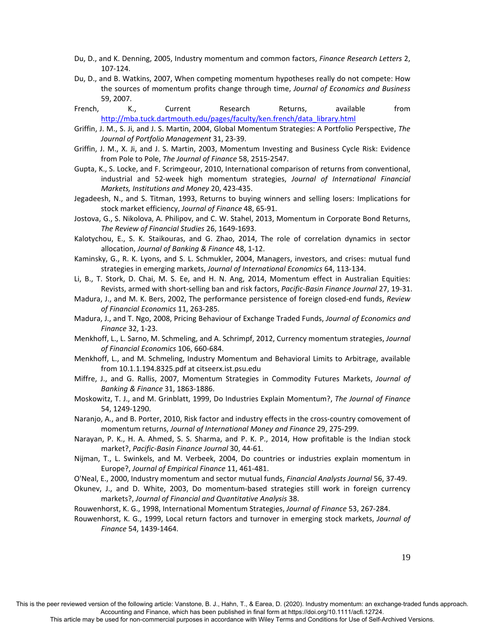- Du, D., and K. Denning, 2005, Industry momentum and common factors, *Finance Research Letters* 2, 107‐124.
- Du, D., and B. Watkins, 2007, When competing momentum hypotheses really do not compete: How the sources of momentum profits change through time, *Journal of Economics and Business* 59, 2007.
- French, K., Current Research Returns, available from http://mba.tuck.dartmouth.edu/pages/faculty/ken.french/data\_library.html
- Griffin, J. M., S. Ji, and J. S. Martin, 2004, Global Momentum Strategies: A Portfolio Perspective, *The Journal of Portfolio Management* 31, 23‐39.
- Griffin, J. M., X. Ji, and J. S. Martin, 2003, Momentum Investing and Business Cycle Risk: Evidence from Pole to Pole, *The Journal of Finance* 58, 2515‐2547.
- Gupta, K., S. Locke, and F. Scrimgeour, 2010, International comparison of returns from conventional, industrial and 52‐week high momentum strategies, *Journal of International Financial Markets, Institutions and Money* 20, 423‐435.
- Jegadeesh, N., and S. Titman, 1993, Returns to buying winners and selling losers: Implications for stock market efficiency, *Journal of Finance* 48, 65‐91.
- Jostova, G., S. Nikolova, A. Philipov, and C. W. Stahel, 2013, Momentum in Corporate Bond Returns, *The Review of Financial Studies* 26, 1649‐1693.
- Kalotychou, E., S. K. Staikouras, and G. Zhao, 2014, The role of correlation dynamics in sector allocation, *Journal of Banking & Finance* 48, 1‐12.
- Kaminsky, G., R. K. Lyons, and S. L. Schmukler, 2004, Managers, investors, and crises: mutual fund strategies in emerging markets, *Journal of International Economics* 64, 113‐134.
- Li, B., T. Stork, D. Chai, M. S. Ee, and H. N. Ang, 2014, Momentum effect in Australian Equities: Revists, armed with short‐selling ban and risk factors, *Pacific‐Basin Finance Journal* 27, 19‐31.
- Madura, J., and M. K. Bers, 2002, The performance persistence of foreign closed‐end funds, *Review of Financial Economics* 11, 263‐285.
- Madura, J., and T. Ngo, 2008, Pricing Behaviour of Exchange Traded Funds, *Journal of Economics and Finance* 32, 1‐23.
- Menkhoff, L., L. Sarno, M. Schmeling, and A. Schrimpf, 2012, Currency momentum strategies, *Journal of Financial Economics* 106, 660‐684.
- Menkhoff, L., and M. Schmeling, Industry Momentum and Behavioral Limits to Arbitrage, available from 10.1.1.194.8325.pdf at citseerx.ist.psu.edu
- Miffre, J., and G. Rallis, 2007, Momentum Strategies in Commodity Futures Markets, *Journal of Banking & Finance* 31, 1863‐1886.
- Moskowitz, T. J., and M. Grinblatt, 1999, Do Industries Explain Momentum?, *The Journal of Finance* 54, 1249‐1290.
- Naranjo, A., and B. Porter, 2010, Risk factor and industry effects in the cross‐country comovement of momentum returns, *Journal of International Money and Finance* 29, 275‐299.
- Narayan, P. K., H. A. Ahmed, S. S. Sharma, and P. K. P., 2014, How profitable is the Indian stock market?, *Pacific‐Basin Finance Journal* 30, 44‐61.
- Nijman, T., L. Swinkels, and M. Verbeek, 2004, Do countries or industries explain momentum in Europe?, *Journal of Empirical Finance* 11, 461‐481.
- O'Neal, E., 2000, Industry momentum and sector mutual funds, *Financial Analysts Journal* 56, 37‐49.
- Okunev, J., and D. White, 2003, Do momentum‐based strategies still work in foreign currency markets?, *Journal of Financial and Quantitative Analysis* 38.
- Rouwenhorst, K. G., 1998, International Momentum Strategies, *Journal of Finance* 53, 267‐284.
- Rouwenhorst, K. G., 1999, Local return factors and turnover in emerging stock markets, *Journal of Finance* 54, 1439‐1464.